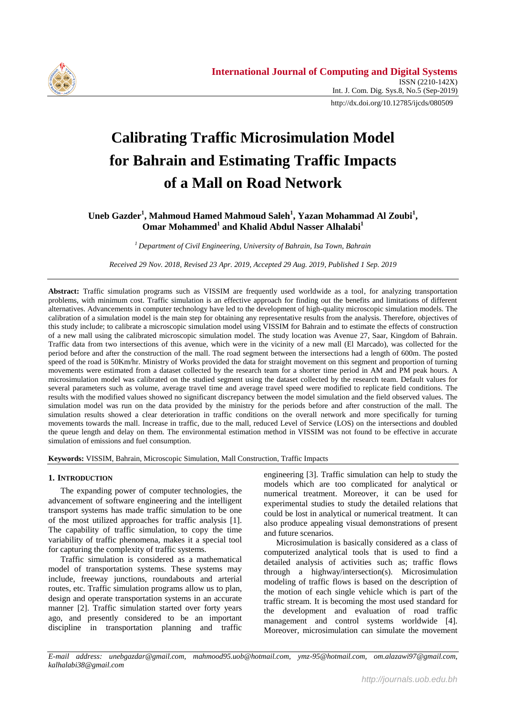

# **Calibrating Traffic Microsimulation Model for Bahrain and Estimating Traffic Impacts of a Mall on Road Network**

## **Uneb Gazder<sup>1</sup> , Mahmoud Hamed Mahmoud Saleh<sup>1</sup> , Yazan Mohammad Al Zoubi<sup>1</sup> , Omar Mohammed<sup>1</sup> and Khalid Abdul Nasser Alhalabi<sup>1</sup>**

*<sup>1</sup>Department of Civil Engineering, University of Bahrain, Isa Town, Bahrain*

*Received 29 Nov. 2018, Revised 23 Apr. 2019, Accepted 29 Aug. 2019, Published 1 Sep. 2019*

Abstract: Traffic simulation programs such as VISSIM are frequently used worldwide as a tool, for analyzing transportation problems, with minimum cost. Traffic simulation is an effective approach for finding out the benefits and limitations of different alternatives. Advancements in computer technology have led to the development of high-quality microscopic simulation models. The calibration of a simulation model is the main step for obtaining any representative results from the analysis. Therefore, objectives of this study include; to calibrate a microscopic simulation model using VISSIM for Bahrain and to estimate the effects of construction of a new mall using the calibrated microscopic simulation model. The study location was Avenue 27, Saar, Kingdom of Bahrain. Traffic data from two intersections of this avenue, which were in the vicinity of a new mall (El Marcado), was collected for the period before and after the construction of the mall. The road segment between the intersections had a length of 600m. The posted speed of the road is 50Km/hr. Ministry of Works provided the data for straight movement on this segment and proportion of turning movements were estimated from a dataset collected by the research team for a shorter time period in AM and PM peak hours. A microsimulation model was calibrated on the studied segment using the dataset collected by the research team. Default values for several parameters such as volume, average travel time and average travel speed were modified to replicate field conditions. The results with the modified values showed no significant discrepancy between the model simulation and the field observed values. The simulation model was run on the data provided by the ministry for the periods before and after construction of the mall. The simulation results showed a clear deterioration in traffic conditions on the overall network and more specifically for turning movements towards the mall. Increase in traffic, due to the mall, reduced Level of Service (LOS) on the intersections and doubled the queue length and delay on them. The environmental estimation method in VISSIM was not found to be effective in accurate simulation of emissions and fuel consumption.

**Keywords:** VISSIM, Bahrain, Microscopic Simulation, Mall Construction, Traffic Impacts

#### **1. INTRODUCTION**

The expanding power of computer technologies, the advancement of software engineering and the intelligent transport systems has made traffic simulation to be one of the most utilized approaches for traffic analysis [1]. The capability of traffic simulation, to copy the time variability of traffic phenomena, makes it a special tool for capturing the complexity of traffic systems.

Traffic simulation is considered as a mathematical model of transportation systems. These systems may include, freeway junctions, roundabouts and arterial routes, etc. Traffic simulation programs allow us to plan, design and operate transportation systems in an accurate manner [2]. Traffic simulation started over forty years ago, and presently considered to be an important discipline in transportation planning and traffic

engineering [3]. Traffic simulation can help to study the models which are too complicated for analytical or numerical treatment. Moreover, it can be used for experimental studies to study the detailed relations that could be lost in analytical or numerical treatment. It can also produce appealing visual demonstrations of present and future scenarios.

Microsimulation is basically considered as a class of computerized analytical tools that is used to find a detailed analysis of activities such as; traffic flows through a highway/intersection(s). Microsimulation modeling of traffic flows is based on the description of the motion of each single vehicle which is part of the traffic stream. It is becoming the most used standard for the development and evaluation of road traffic management and control systems worldwide [4]. Moreover, microsimulation can simulate the movement

*E-mail address: unebgazdar@gmail.com, mahmood95.uob@hotmail.com, ymz-95@hotmail.com, om.alazawi97@gmail.com, kalhalabi38@gmail.com*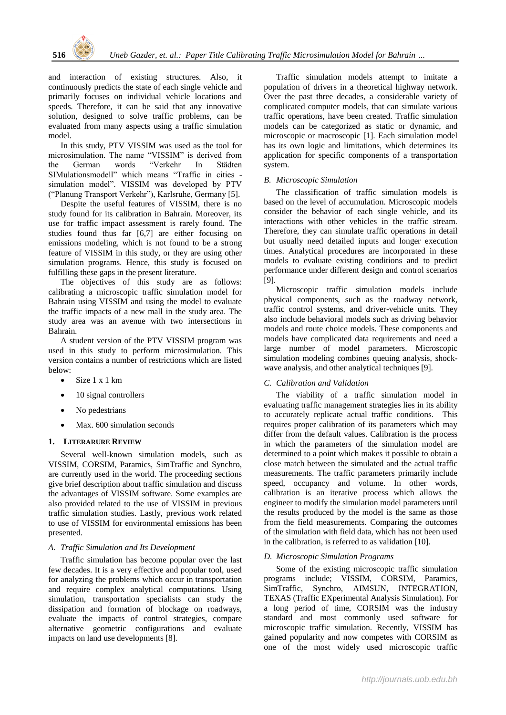and interaction of existing structures. Also, it continuously predicts the state of each single vehicle and primarily focuses on individual vehicle locations and speeds. Therefore, it can be said that any innovative solution, designed to solve traffic problems, can be evaluated from many aspects using a traffic simulation model.

In this study, PTV VISSIM was used as the tool for microsimulation. The name "VISSIM" is derived from the German words "Verkehr In Städten SIMulationsmodell" which means "Traffic in cities simulation model". VISSIM was developed by PTV ("Planung Transport Verkehr"), Karlsruhe, Germany [5].

Despite the useful features of VISSIM, there is no study found for its calibration in Bahrain. Moreover, its use for traffic impact assessment is rarely found. The studies found thus far [6,7] are either focusing on emissions modeling, which is not found to be a strong feature of VISSIM in this study, or they are using other simulation programs. Hence, this study is focused on fulfilling these gaps in the present literature.

The objectives of this study are as follows: calibrating a microscopic traffic simulation model for Bahrain using VISSIM and using the model to evaluate the traffic impacts of a new mall in the study area. The study area was an avenue with two intersections in Bahrain.

A student version of the PTV VISSIM program was used in this study to perform microsimulation. This version contains a number of restrictions which are listed below:

- Size 1 x 1 km
- 10 signal controllers
- No pedestrians
- Max. 600 simulation seconds

## **1. LITERARURE REVIEW**

Several well-known simulation models, such as VISSIM, CORSIM, Paramics, SimTraffic and Synchro, are currently used in the world. The proceeding sections give brief description about traffic simulation and discuss the advantages of VISSIM software. Some examples are also provided related to the use of VISSIM in previous traffic simulation studies. Lastly, previous work related to use of VISSIM for environmental emissions has been presented.

## *A. Traffic Simulation and Its Development*

Traffic simulation has become popular over the last few decades. It is a very effective and popular tool, used for analyzing the problems which occur in transportation and require complex analytical computations. Using simulation, transportation specialists can study the dissipation and formation of blockage on roadways, evaluate the impacts of control strategies, compare alternative geometric configurations and evaluate impacts on land use developments [8].

Traffic simulation models attempt to imitate a population of drivers in a theoretical highway network. Over the past three decades, a considerable variety of complicated computer models, that can simulate various traffic operations, have been created. Traffic simulation models can be categorized as static or dynamic, and microscopic or macroscopic [1]. Each simulation model has its own logic and limitations, which determines its application for specific components of a transportation system.

## *B. Microscopic Simulation*

The classification of traffic simulation models is based on the level of accumulation. Microscopic models consider the behavior of each single vehicle, and its interactions with other vehicles in the traffic stream. Therefore, they can simulate traffic operations in detail but usually need detailed inputs and longer execution times. Analytical procedures are incorporated in these models to evaluate existing conditions and to predict performance under different design and control scenarios [9].

Microscopic traffic simulation models include physical components, such as the roadway network, traffic control systems, and driver-vehicle units. They also include behavioral models such as driving behavior models and route choice models. These components and models have complicated data requirements and need a large number of model parameters. Microscopic simulation modeling combines queuing analysis, shockwave analysis, and other analytical techniques [9].

## *C. Calibration and Validation*

The viability of a traffic simulation model in evaluating traffic management strategies lies in its ability to accurately replicate actual traffic conditions. This requires proper calibration of its parameters which may differ from the default values. Calibration is the process in which the parameters of the simulation model are determined to a point which makes it possible to obtain a close match between the simulated and the actual traffic measurements. The traffic parameters primarily include speed, occupancy and volume. In other words, calibration is an iterative process which allows the engineer to modify the simulation model parameters until the results produced by the model is the same as those from the field measurements. Comparing the outcomes of the simulation with field data, which has not been used in the calibration, is referred to as validation [10].

## *D. Microscopic Simulation Programs*

Some of the existing microscopic traffic simulation programs include; VISSIM, CORSIM, Paramics, SimTraffic, Synchro, AIMSUN, INTEGRATION, TEXAS (Traffic EXperimental Analysis Simulation). For a long period of time, CORSIM was the industry standard and most commonly used software for microscopic traffic simulation. Recently, VISSIM has gained popularity and now competes with CORSIM as one of the most widely used microscopic traffic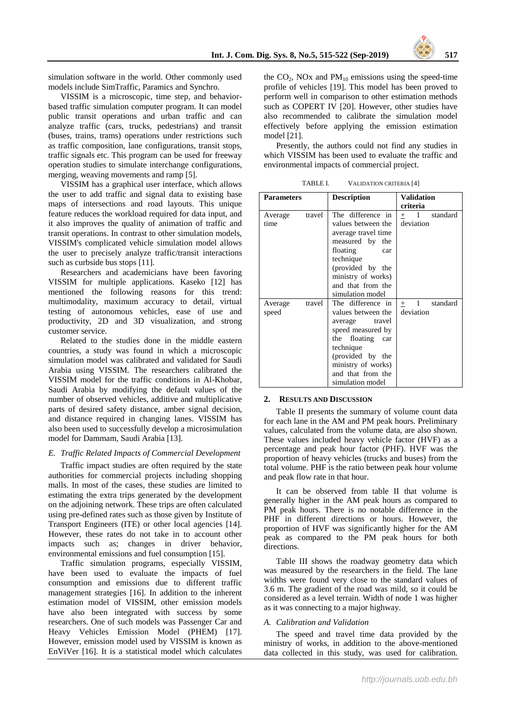simulation software in the world. Other commonly used models include SimTraffic, Paramics and Synchro.

VISSIM is a microscopic, time step, and behaviorbased traffic simulation computer program. It can model public transit operations and urban traffic and can analyze traffic (cars, trucks, pedestrians) and transit (buses, trains, trams) operations under restrictions such as traffic composition, lane configurations, transit stops, traffic signals etc. This program can be used for freeway operation studies to simulate interchange configurations, merging, weaving movements and ramp [5].

VISSIM has a graphical user interface, which allows the user to add traffic and signal data to existing base maps of intersections and road layouts. This unique feature reduces the workload required for data input, and it also improves the quality of animation of traffic and transit operations. In contrast to other simulation models, VISSIM's complicated vehicle simulation model allows the user to precisely analyze traffic/transit interactions such as curbside bus stops [11].

Researchers and academicians have been favoring VISSIM for multiple applications. Kaseko [12] has mentioned the following reasons for this trend: multimodality, maximum accuracy to detail, virtual testing of autonomous vehicles, ease of use and productivity, 2D and 3D visualization, and strong customer service.

Related to the studies done in the middle eastern countries, a study was found in which a microscopic simulation model was calibrated and validated for Saudi Arabia using VISSIM. The researchers calibrated the VISSIM model for the traffic conditions in Al-Khobar, Saudi Arabia by modifying the default values of the number of observed vehicles, additive and multiplicative parts of desired safety distance, amber signal decision, and distance required in changing lanes. VISSIM has also been used to successfully develop a microsimulation model for Dammam, Saudi Arabia [13].

## *E. Traffic Related Impacts of Commercial Development*

Traffic impact studies are often required by the state authorities for commercial projects including shopping malls. In most of the cases, these studies are limited to estimating the extra trips generated by the development on the adjoining network. These trips are often calculated using pre-defined rates such as those given by Institute of Transport Engineers (ITE) or other local agencies [14]. However, these rates do not take in to account other impacts such as; changes in driver behavior, environmental emissions and fuel consumption [15].

Traffic simulation programs, especially VISSIM, have been used to evaluate the impacts of fuel consumption and emissions due to different traffic management strategies [16]. In addition to the inherent estimation model of VISSIM, other emission models have also been integrated with success by some researchers. One of such models was Passenger Car and Heavy Vehicles Emission Model (PHEM) [17]. However, emission model used by VISSIM is known as EnViVer [16]. It is a statistical model which calculates the  $CO<sub>2</sub>$ , NOx and  $PM<sub>10</sub>$  emissions using the speed-time profile of vehicles [19]. This model has been proved to perform well in comparison to other estimation methods such as COPERT IV [20]. However, other studies have also recommended to calibrate the simulation model effectively before applying the emission estimation model [21].

Presently, the authors could not find any studies in which VISSIM has been used to evaluate the traffic and environmental impacts of commercial project.

TABLE I. VALIDATION CRITERIA [4]

| <b>Parameters</b> |        | <b>Description</b>                                                                                                                                                                                    | <b>Validation</b>                               |  |  |
|-------------------|--------|-------------------------------------------------------------------------------------------------------------------------------------------------------------------------------------------------------|-------------------------------------------------|--|--|
|                   |        |                                                                                                                                                                                                       | criteria                                        |  |  |
| Average<br>time   | travel | The difference in<br>values between the<br>average travel time<br>measured by the<br>floating<br>car<br>technique<br>(provided by the<br>ministry of works)<br>and that from the<br>simulation model  | $1 \quad$<br>standard<br>$+$<br>deviation       |  |  |
| Average<br>speed  | travel | The difference in<br>values between the<br>travel<br>average<br>speed measured by<br>the floating car<br>technique<br>(provided by the<br>ministry of works)<br>and that from the<br>simulation model | $\mathbf{1}$<br>standard<br>$^{+}$<br>deviation |  |  |

#### **2. RESULTS AND DISCUSSION**

Table II presents the summary of volume count data for each lane in the AM and PM peak hours. Preliminary values, calculated from the volume data, are also shown. These values included heavy vehicle factor (HVF) as a percentage and peak hour factor (PHF). HVF was the proportion of heavy vehicles (trucks and buses) from the total volume. PHF is the ratio between peak hour volume and peak flow rate in that hour.

It can be observed from table II that volume is generally higher in the AM peak hours as compared to PM peak hours. There is no notable difference in the PHF in different directions or hours. However, the proportion of HVF was significantly higher for the AM peak as compared to the PM peak hours for both directions.

Table III shows the roadway geometry data which was measured by the researchers in the field. The lane widths were found very close to the standard values of 3.6 m. The gradient of the road was mild, so it could be considered as a level terrain. Width of node 1 was higher as it was connecting to a major highway.

#### *A. Calibration and Validation*

The speed and travel time data provided by the ministry of works, in addition to the above-mentioned data collected in this study, was used for calibration.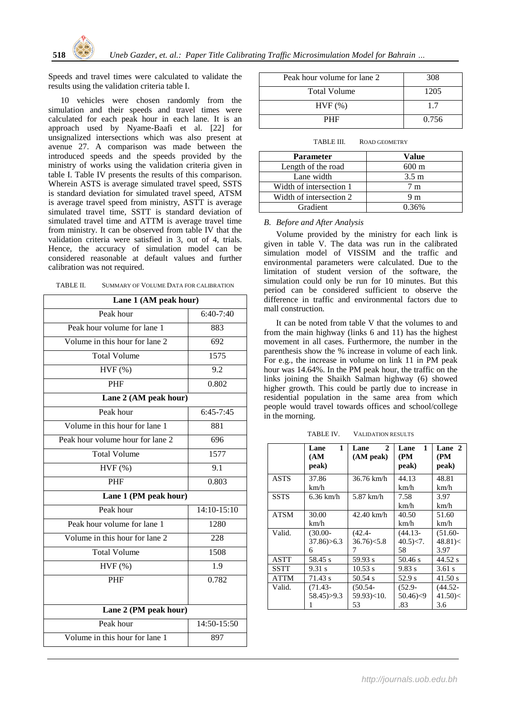

Speeds and travel times were calculated to validate the results using the validation criteria table I.

10 vehicles were chosen randomly from the simulation and their speeds and travel times were calculated for each peak hour in each lane. It is an approach used by Nyame-Baafi et al. [22] for unsignalized intersections which was also present at avenue 27. A comparison was made between the introduced speeds and the speeds provided by the ministry of works using the validation criteria given in table I. Table IV presents the results of this comparison. Wherein ASTS is average simulated travel speed, SSTS is standard deviation for simulated travel speed, ATSM is average travel speed from ministry, ASTT is average simulated travel time, SSTT is standard deviation of simulated travel time and ATTM is average travel time from ministry. It can be observed from table IV that the validation criteria were satisfied in 3, out of 4, trials. Hence, the accuracy of simulation model can be considered reasonable at default values and further calibration was not required.

| Lane 1 (AM peak hour)            |               |  |  |  |  |  |
|----------------------------------|---------------|--|--|--|--|--|
| Peak hour                        | $6:40-7:40$   |  |  |  |  |  |
| Peak hour volume for lane 1      | 883           |  |  |  |  |  |
| Volume in this hour for lane 2   | 692           |  |  |  |  |  |
| <b>Total Volume</b>              | 1575          |  |  |  |  |  |
| HVF(%)                           | 9.2           |  |  |  |  |  |
| <b>PHF</b>                       | 0.802         |  |  |  |  |  |
| Lane 2 (AM peak hour)            |               |  |  |  |  |  |
| Peak hour                        | $6:45 - 7:45$ |  |  |  |  |  |
| Volume in this hour for lane 1   | 881           |  |  |  |  |  |
| Peak hour volume hour for lane 2 | 696           |  |  |  |  |  |
| <b>Total Volume</b>              | 1577          |  |  |  |  |  |
| HVF(%)                           | 9.1           |  |  |  |  |  |
| PHF                              | 0.803         |  |  |  |  |  |
| Lane 1 (PM peak hour)            |               |  |  |  |  |  |
| Peak hour                        | $14:10-15:10$ |  |  |  |  |  |
| Peak hour volume for lane 1      | 1280          |  |  |  |  |  |
| Volume in this hour for lane 2   | 228           |  |  |  |  |  |
| <b>Total Volume</b>              | 1508          |  |  |  |  |  |
| $HVF$ $(\%)$                     | 1.9           |  |  |  |  |  |
| <b>PHF</b>                       | 0.782         |  |  |  |  |  |
|                                  |               |  |  |  |  |  |
| Lane 2 (PM peak hour)            |               |  |  |  |  |  |
| Peak hour                        | 14:50-15:50   |  |  |  |  |  |
| Volume in this hour for lane 1   | 897           |  |  |  |  |  |

| Peak hour volume for lane 2 | 308   |
|-----------------------------|-------|
| <b>Total Volume</b>         | 1205  |
| $HVF$ $(\%)$                | 17    |
| <b>PHF</b>                  | 0.756 |

| TABLE III. | ROAD GEOMETRY |
|------------|---------------|
|            |               |

| <b>Parameter</b>        | Value           |
|-------------------------|-----------------|
| Length of the road      | $600 \text{ m}$ |
| Lane width              | $3.5 \text{ m}$ |
| Width of intersection 1 | 7 m             |
| Width of intersection 2 | 9 m             |
| <b>Gradient</b>         | 0.36%           |

#### *B. Before and After Analysis*

Volume provided by the ministry for each link is given in table V. The data was run in the calibrated simulation model of VISSIM and the traffic and environmental parameters were calculated. Due to the limitation of student version of the software, the simulation could only be run for 10 minutes. But this period can be considered sufficient to observe the difference in traffic and environmental factors due to mall construction.

It can be noted from table V that the volumes to and from the main highway (links 6 and 11) has the highest movement in all cases. Furthermore, the number in the parenthesis show the % increase in volume of each link. For e.g., the increase in volume on link 11 in PM peak hour was 14.64%. In the PM peak hour, the traffic on the links joining the Shaikh Salman highway (6) showed higher growth. This could be partly due to increase in residential population in the same area from which people would travel towards offices and school/college in the morning.

TABLE IV. VALIDATION RESULTS

|             | 1<br>Lane<br>(AM) | $\mathbf{2}$<br>Lane<br>(AM peak) | Lane<br>1<br>(PM | Lane 2<br>(PM |
|-------------|-------------------|-----------------------------------|------------------|---------------|
|             | peak)             |                                   | peak)            | peak)         |
| <b>ASTS</b> | 37.86             | 36.76 km/h                        | 44.13            | 48.81         |
|             | km/h              |                                   | km/h             | km/h          |
| <b>SSTS</b> | $6.36$ km/h       | 5.87 km/h                         | 7.58             | 3.97          |
|             |                   |                                   | km/h             | km/h          |
| ATSM        | 30.00             | 42.40 km/h                        | 40.50            | 51.60         |
|             | km/h              |                                   | km/h             | km/h          |
| Valid.      | $(30.00 -$        | $(42.4 -$                         | $(44.13 -$       | $(51.60 -$    |
|             | 37.86 > 6.3       | $36.76$ $< 5.8$                   | $40.5$ $<7$ .    | 48.81 <       |
|             | 6                 | 7                                 | 58               | 3.97          |
| ASTT        | 58.45 s           | 59.93 s                           | 50.46 s          | 44.52 s       |
| <b>SSTT</b> | 9.31 s            | 10.53 s                           | 9.83 s           | $3.61$ s      |
| ATTM        | 71.43 s           | 50.54 s                           | 52.9 s           | 41.50 s       |
| Valid.      | $(71.43 -$        | $(50.54 -$                        | $(52.9 -$        | $(44.52 -$    |
|             | 58.45)>9.3        | 59.93 \ \ \ 10.                   | 50.46 < 9        | 41.50 <       |
|             |                   | 53                                | .83              | 3.6           |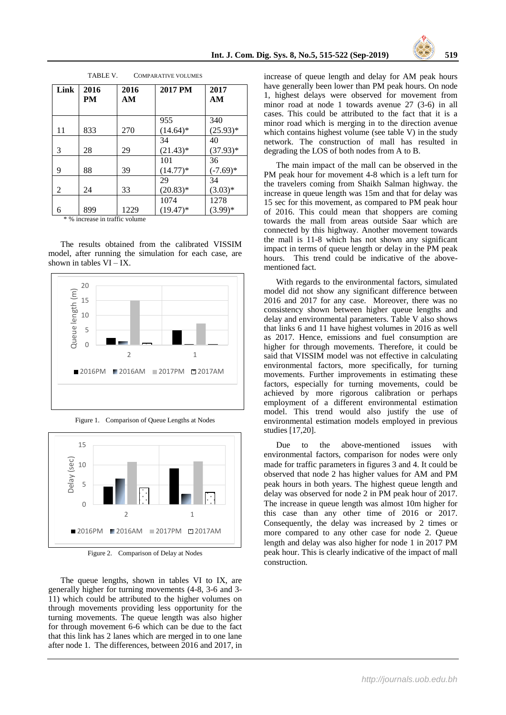

| Link | 2016<br>PM | 2016<br>AM | 2017 PM     | 2017<br>AM |
|------|------------|------------|-------------|------------|
|      |            |            | 955         | 340        |
| 11   | 833        | 270        | $(14.64)^*$ | $(25.93)*$ |
|      |            |            | 34          | 40         |
| 3    | 28         | 29         | $(21.43)*$  | $(37.93)*$ |
|      |            |            | 101         | 36         |
| 9    | 88         | 39         | $(14.77)*$  | $(-7.69)*$ |
|      |            |            | 29          | 34         |
| 2    | 24         | 33         | $(20.83)*$  | $(3.03)*$  |
|      |            |            | 1074        | 1278       |
| 6    | 899        | 1229       | $(19.47)^*$ | $(3.99)*$  |

TABLE V. COMPARATIVE VOLUMES

\* % increase in traffic volume

The results obtained from the calibrated VISSIM model, after running the simulation for each case, are shown in tables  $VI - IX$ .







Figure 2. Comparison of Delay at Nodes

The queue lengths, shown in tables VI to IX, are generally higher for turning movements (4-8, 3-6 and 3- 11) which could be attributed to the higher volumes on through movements providing less opportunity for the turning movements. The queue length was also higher for through movement 6-6 which can be due to the fact that this link has 2 lanes which are merged in to one lane after node 1. The differences, between 2016 and 2017, in

increase of queue length and delay for AM peak hours have generally been lower than PM peak hours. On node 1, highest delays were observed for movement from minor road at node 1 towards avenue 27 (3-6) in all cases. This could be attributed to the fact that it is a minor road which is merging in to the direction avenue which contains highest volume (see table V) in the study network. The construction of mall has resulted in degrading the LOS of both nodes from A to B.

The main impact of the mall can be observed in the PM peak hour for movement 4-8 which is a left turn for the travelers coming from Shaikh Salman highway. the increase in queue length was 15m and that for delay was 15 sec for this movement, as compared to PM peak hour of 2016. This could mean that shoppers are coming towards the mall from areas outside Saar which are connected by this highway. Another movement towards the mall is 11-8 which has not shown any significant impact in terms of queue length or delay in the PM peak hours. This trend could be indicative of the abovementioned fact.

With regards to the environmental factors, simulated model did not show any significant difference between 2016 and 2017 for any case. Moreover, there was no consistency shown between higher queue lengths and delay and environmental parameters. Table V also shows that links 6 and 11 have highest volumes in 2016 as well as 2017. Hence, emissions and fuel consumption are higher for through movements. Therefore, it could be said that VISSIM model was not effective in calculating environmental factors, more specifically, for turning movements. Further improvements in estimating these factors, especially for turning movements, could be achieved by more rigorous calibration or perhaps employment of a different environmental estimation model. This trend would also justify the use of environmental estimation models employed in previous studies [17,20].

Due to the above-mentioned issues with environmental factors, comparison for nodes were only made for traffic parameters in figures 3 and 4. It could be observed that node 2 has higher values for AM and PM peak hours in both years. The highest queue length and delay was observed for node 2 in PM peak hour of 2017. The increase in queue length was almost 10m higher for this case than any other time of 2016 or 2017. Consequently, the delay was increased by 2 times or more compared to any other case for node 2. Queue length and delay was also higher for node 1 in 2017 PM peak hour. This is clearly indicative of the impact of mall construction.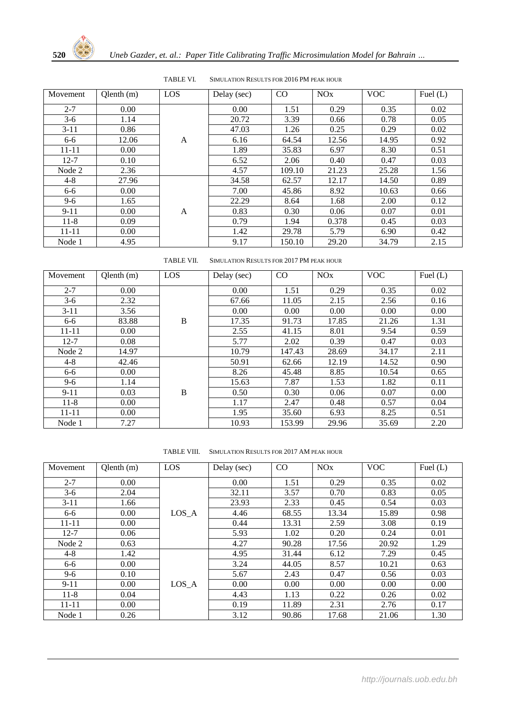

| Movement  | Qlenth (m) | LO |
|-----------|------------|----|
| $2 - 7$   | 0.00       |    |
| $3-6$     | 1.14       |    |
| $3 - 11$  | 0.86       |    |
| 6-6       | 12.06      |    |
| $11 - 11$ | 0.00       |    |
| $12 - 7$  | 0.10       |    |
| Node 2    | 2.36       |    |
| 4-8       | 27.96      |    |
| $6 - 6$   | 0.00       |    |
| $9 - 6$   | 1.65       |    |
| $9 - 11$  | 0.00       |    |
| 11-8      | 0.09       |    |
| 11-11     | 0.00       |    |
| Node 1    | 4.95       |    |

TABLE VI. SIMULATION RESULTS FOR 2016 PM PEAK HOUR

| Movement  | $Q$ lenth $(m)$ | LOS | Delay (sec) | CO     | <b>NO<sub>x</sub></b> | <b>VOC</b> | Fuel $(L)$ |
|-----------|-----------------|-----|-------------|--------|-----------------------|------------|------------|
| $2 - 7$   | 0.00            |     | 0.00        | 1.51   | 0.29                  | 0.35       | 0.02       |
| $3-6$     | 1.14            |     | 20.72       | 3.39   | 0.66                  | 0.78       | 0.05       |
| $3-11$    | 0.86            |     | 47.03       | 1.26   | 0.25                  | 0.29       | 0.02       |
| $6 - 6$   | 12.06           | A   | 6.16        | 64.54  | 12.56                 | 14.95      | 0.92       |
| $11 - 11$ | 0.00            |     | 1.89        | 35.83  | 6.97                  | 8.30       | 0.51       |
| $12 - 7$  | 0.10            |     | 6.52        | 2.06   | 0.40                  | 0.47       | 0.03       |
| Node 2    | 2.36            |     | 4.57        | 109.10 | 21.23                 | 25.28      | 1.56       |
| $4 - 8$   | 27.96           |     | 34.58       | 62.57  | 12.17                 | 14.50      | 0.89       |
| 6-6       | 0.00            |     | 7.00        | 45.86  | 8.92                  | 10.63      | 0.66       |
| $9 - 6$   | 1.65            |     | 22.29       | 8.64   | 1.68                  | 2.00       | 0.12       |
| $9 - 11$  | 0.00            | A   | 0.83        | 0.30   | 0.06                  | 0.07       | 0.01       |
| $11-8$    | 0.09            |     | 0.79        | 1.94   | 0.378                 | 0.45       | 0.03       |
| $11 - 11$ | 0.00            |     | 1.42        | 29.78  | 5.79                  | 6.90       | 0.42       |
| Node 1    | 4.95            |     | 9.17        | 150.10 | 29.20                 | 34.79      | 2.15       |

TABLE VII. SIMULATION RESULTS FOR 2017 PM PEAK HOUR

| Movement  | $Q$ lenth $(m)$ | LOS | Delay (sec) | CO     | <b>NO<sub>x</sub></b> | <b>VOC</b> | Fuel $(L)$ |
|-----------|-----------------|-----|-------------|--------|-----------------------|------------|------------|
| $2 - 7$   | 0.00            |     | 0.00        | 1.51   | 0.29                  | 0.35       | 0.02       |
| $3-6$     | 2.32            |     | 67.66       | 11.05  | 2.15                  | 2.56       | 0.16       |
| $3-11$    | 3.56            |     | 0.00        | 0.00   | 0.00                  | 0.00       | 0.00       |
| $6 - 6$   | 83.88           | B   | 17.35       | 91.73  | 17.85                 | 21.26      | 1.31       |
| $11 - 11$ | 0.00            |     | 2.55        | 41.15  | 8.01                  | 9.54       | 0.59       |
| $12 - 7$  | 0.08            |     | 5.77        | 2.02   | 0.39                  | 0.47       | 0.03       |
| Node 2    | 14.97           |     | 10.79       | 147.43 | 28.69                 | 34.17      | 2.11       |
| $4 - 8$   | 42.46           |     | 50.91       | 62.66  | 12.19                 | 14.52      | 0.90       |
| $6-6$     | 0.00            |     | 8.26        | 45.48  | 8.85                  | 10.54      | 0.65       |
| $9 - 6$   | 1.14            |     | 15.63       | 7.87   | 1.53                  | 1.82       | 0.11       |
| $9 - 11$  | 0.03            | B   | 0.50        | 0.30   | 0.06                  | 0.07       | 0.00       |
| $11-8$    | 0.00            |     | 1.17        | 2.47   | 0.48                  | 0.57       | 0.04       |
| $11 - 11$ | 0.00            |     | 1.95        | 35.60  | 6.93                  | 8.25       | 0.51       |
| Node 1    | 7.27            |     | 10.93       | 153.99 | 29.96                 | 35.69      | 2.20       |

TABLE VIII. SIMULATION RESULTS FOR 2017 AM PEAK HOUR

| Movement  | Qlenth(m) | LOS   | Delay (sec) | CO    | <b>NO<sub>x</sub></b> | <b>VOC</b> | Fuel $(L)$ |
|-----------|-----------|-------|-------------|-------|-----------------------|------------|------------|
| $2 - 7$   | 0.00      |       | 0.00        | 1.51  | 0.29                  | 0.35       | 0.02       |
| $3-6$     | 2.04      |       | 32.11       | 3.57  | 0.70                  | 0.83       | 0.05       |
| $3-11$    | 1.66      |       | 23.93       | 2.33  | 0.45                  | 0.54       | 0.03       |
| 6-6       | 0.00      | LOS A | 4.46        | 68.55 | 13.34                 | 15.89      | 0.98       |
| $11 - 11$ | 0.00      |       | 0.44        | 13.31 | 2.59                  | 3.08       | 0.19       |
| $12 - 7$  | 0.06      |       | 5.93        | 1.02  | 0.20                  | 0.24       | 0.01       |
| Node 2    | 0.63      |       | 4.27        | 90.28 | 17.56                 | 20.92      | 1.29       |
| $4 - 8$   | 1.42      |       | 4.95        | 31.44 | 6.12                  | 7.29       | 0.45       |
| 6-6       | 0.00      |       | 3.24        | 44.05 | 8.57                  | 10.21      | 0.63       |
| $9-6$     | 0.10      |       | 5.67        | 2.43  | 0.47                  | 0.56       | 0.03       |
| $9-11$    | 0.00      | LOS A | 0.00        | 0.00  | 0.00                  | 0.00       | 0.00       |
| $11-8$    | 0.04      |       | 4.43        | 1.13  | 0.22                  | 0.26       | 0.02       |
| $11 - 11$ | 0.00      |       | 0.19        | 11.89 | 2.31                  | 2.76       | 0.17       |
| Node 1    | 0.26      |       | 3.12        | 90.86 | 17.68                 | 21.06      | 1.30       |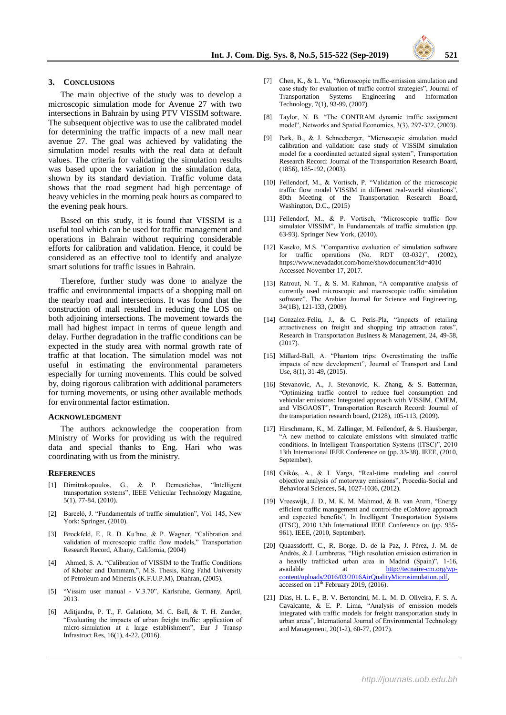#### **3. CONCLUSIONS**

The main objective of the study was to develop a microscopic simulation mode for Avenue 27 with two intersections in Bahrain by using PTV VISSIM software. The subsequent objective was to use the calibrated model for determining the traffic impacts of a new mall near avenue 27. The goal was achieved by validating the simulation model results with the real data at default values. The criteria for validating the simulation results was based upon the variation in the simulation data, shown by its standard deviation. Traffic volume data shows that the road segment had high percentage of heavy vehicles in the morning peak hours as compared to the evening peak hours.

Based on this study, it is found that VISSIM is a useful tool which can be used for traffic management and operations in Bahrain without requiring considerable efforts for calibration and validation. Hence, it could be considered as an effective tool to identify and analyze smart solutions for traffic issues in Bahrain.

Therefore, further study was done to analyze the traffic and environmental impacts of a shopping mall on the nearby road and intersections. It was found that the construction of mall resulted in reducing the LOS on both adjoining intersections. The movement towards the mall had highest impact in terms of queue length and delay. Further degradation in the traffic conditions can be expected in the study area with normal growth rate of traffic at that location. The simulation model was not useful in estimating the environmental parameters especially for turning movements. This could be solved by, doing rigorous calibration with additional parameters for turning movements, or using other available methods for environmental factor estimation.

#### **ACKNOWLEDGMENT**

The authors acknowledge the cooperation from Ministry of Works for providing us with the required data and special thanks to Eng. Hari who was coordinating with us from the ministry.

#### **REFERENCES**

- [1] Dimitrakopoulos, G., & P. Demestichas, "Intelligent transportation systems", IEEE Vehicular Technology Magazine, 5(1), 77-84, (2010).
- [2] Barceló, J. "Fundamentals of traffic simulation", Vol. 145, New York: Springer, (2010).
- [3] Brockfeld, E., R. D. Ku ̈hne, & P. Wagner, "Calibration and validation of microscopic traffic flow models," Transportation Research Record, Albany, California, (2004)
- [4] Ahmed, S. A. "Calibration of VISSIM to the Traffic Conditions of Khobar and Dammam,", M.S. Thesis, King Fahd University of Petroleum and Minerals (K.F.U.P.M), Dhahran, (2005).
- [5] "Vissim user manual V.3.70", Karlsruhe, Germany, April, 2013.
- [6] Aditjandra, P. T., F. Galatioto, M. C. Bell, & T. H. Zunder, "Evaluating the impacts of urban freight traffic: application of micro-simulation at a large establishment", Eur J Transp Infrastruct Res, 16(1), 4-22, (2016).
- [7] Chen, K., & L. Yu, "Microscopic traffic-emission simulation and case study for evaluation of traffic control strategies", Journal of Transportation Systems Engineering and Information Technology, 7(1), 93-99, (2007).
- [8] Taylor, N. B. "The CONTRAM dynamic traffic assignment model", Networks and Spatial Economics, 3(3), 297-322, (2003).
- [9] Park, B., & J. Schneeberger, "Microscopic simulation model calibration and validation: case study of VISSIM simulation model for a coordinated actuated signal system", Transportation Research Record: Journal of the Transportation Research Board, (1856), 185-192, (2003).
- [10] Fellendorf, M., & Vortisch, P. "Validation of the microscopic traffic flow model VISSIM in different real-world situations", 80th Meeting of the Transportation Research Board, Washington, D.C., (2015)
- [11] Fellendorf, M., & P. Vortisch, "Microscopic traffic flow simulator VISSIM", In Fundamentals of traffic simulation (pp. 63-93). Springer New York, (2010).
- [12] Kaseko, M.S. "Comparative evaluation of simulation software for traffic operations (No. RDT 03-032)", (2002), https://www.nevadadot.com/home/showdocument?id=4010 Accessed November 17, 2017.
- [13] Ratrout, N. T., & S. M. Rahman, "A comparative analysis of currently used microscopic and macroscopic traffic simulation software", The Arabian Journal for Science and Engineering, 34(1B), 121-133, (2009).
- [14] Gonzalez-Feliu, J., & C. Peris-Pla, "Impacts of retailing attractiveness on freight and shopping trip attraction rates", Research in Transportation Business & Management, 24, 49-58, (2017).
- [15] Millard-Ball, A. "Phantom trips: Overestimating the traffic impacts of new development", Journal of Transport and Land Use, 8(1), 31-49, (2015).
- [16] Stevanovic, A., J. Stevanovic, K. Zhang, & S. Batterman, "Optimizing traffic control to reduce fuel consumption and vehicular emissions: Integrated approach with VISSIM, CMEM, and VISGAOST", Transportation Research Record: Journal of the transportation research board, (2128), 105-113, (2009).
- [17] Hirschmann, K., M. Zallinger, M. Fellendorf, & S. Hausberger, "A new method to calculate emissions with simulated traffic conditions. In Intelligent Transportation Systems (ITSC)", 2010 13th International IEEE Conference on (pp. 33-38). IEEE, (2010, September).
- [18] Csikós, A., & I. Varga, "Real-time modeling and control objective analysis of motorway emissions", Procedia-Social and Behavioral Sciences, 54, 1027-1036, (2012).
- [19] Vreeswijk, J. D., M. K. M. Mahmod, & B. van Arem, "Energy efficient traffic management and control-the eCoMove approach and expected benefits", In Intelligent Transportation Systems (ITSC), 2010 13th International IEEE Conference on (pp. 955- 961). IEEE, (2010, September).
- [20] Quaassdorff, C., R. Borge, D. de la Paz, J. Pérez, J. M. de Andrés, & J. Lumbreras, "High resolution emission estimation in a heavily trafficked urban area in Madrid (Spain)", 1-16, available at  $\frac{http://tecnaire-cm.org/wp-1}{http://tecnaire-cm.org/wp-1}$ at http://tecnaire-cm.org/wpcontent/uploads/2016/03/2016AirQualityMicrosimulation.pdf,  $\frac{1}{\text{accessed on } 11^{\text{th}} \text{ February } 2019, (2016).}$
- [21] Dias, H. L. F., B. V. Bertoncini, M. L. M. D. Oliveira, F. S. A. Cavalcante, & E. P. Lima, "Analysis of emission models integrated with traffic models for freight transportation study in urban areas", International Journal of Environmental Technology and Management, 20(1-2), 60-77, (2017).